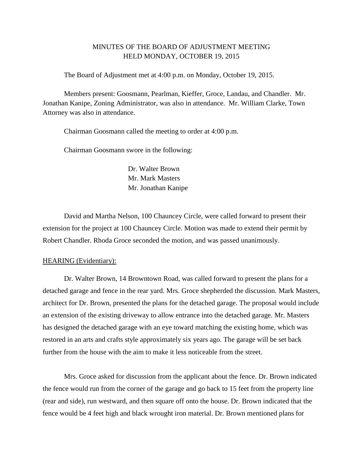## MINUTES OF THE BOARD OF ADJUSTMENT MEETING HELD MONDAY, OCTOBER 19, 2015

The Board of Adjustment met at 4:00 p.m. on Monday, October 19, 2015.

Members present: Goosmann, Pearlman, Kieffer, Groce, Landau, and Chandler. Mr. Jonathan Kanipe, Zoning Administrator, was also in attendance. Mr. William Clarke, Town Attorney was also in attendance.

Chairman Goosmann called the meeting to order at 4:00 p.m.

Chairman Goosmann swore in the following:

Dr. Walter Brown Mr. Mark Masters Mr. Jonathan Kanipe

David and Martha Nelson, 100 Chauncey Circle, were called forward to present their extension for the project at 100 Chauncey Circle. Motion was made to extend their permit by Robert Chandler. Rhoda Groce seconded the motion, and was passed unanimously.

## HEARING (Evidentiary):

Dr. Walter Brown, 14 Browntown Road, was called forward to present the plans for a detached garage and fence in the rear yard. Mrs. Groce shepherded the discussion. Mark Masters, architect for Dr. Brown, presented the plans for the detached garage. The proposal would include an extension of the existing driveway to allow entrance into the detached garage. Mr. Masters has designed the detached garage with an eye toward matching the existing home, which was restored in an arts and crafts style approximately six years ago. The garage will be set back further from the house with the aim to make it less noticeable from the street.

Mrs. Groce asked for discussion from the applicant about the fence. Dr. Brown indicated the fence would run from the corner of the garage and go back to 15 feet from the property line (rear and side), run westward, and then square off onto the house. Dr. Brown indicated that the fence would be 4 feet high and black wrought iron material. Dr. Brown mentioned plans for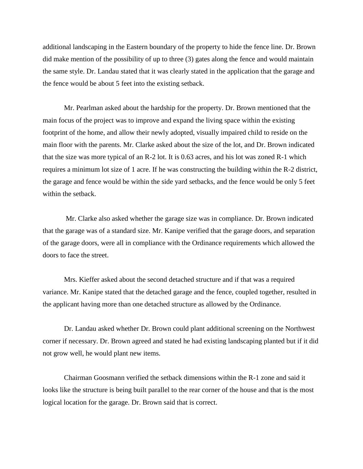additional landscaping in the Eastern boundary of the property to hide the fence line. Dr. Brown did make mention of the possibility of up to three (3) gates along the fence and would maintain the same style. Dr. Landau stated that it was clearly stated in the application that the garage and the fence would be about 5 feet into the existing setback.

Mr. Pearlman asked about the hardship for the property. Dr. Brown mentioned that the main focus of the project was to improve and expand the living space within the existing footprint of the home, and allow their newly adopted, visually impaired child to reside on the main floor with the parents. Mr. Clarke asked about the size of the lot, and Dr. Brown indicated that the size was more typical of an R-2 lot. It is 0.63 acres, and his lot was zoned R-1 which requires a minimum lot size of 1 acre. If he was constructing the building within the R-2 district, the garage and fence would be within the side yard setbacks, and the fence would be only 5 feet within the setback.

Mr. Clarke also asked whether the garage size was in compliance. Dr. Brown indicated that the garage was of a standard size. Mr. Kanipe verified that the garage doors, and separation of the garage doors, were all in compliance with the Ordinance requirements which allowed the doors to face the street.

Mrs. Kieffer asked about the second detached structure and if that was a required variance. Mr. Kanipe stated that the detached garage and the fence, coupled together, resulted in the applicant having more than one detached structure as allowed by the Ordinance.

Dr. Landau asked whether Dr. Brown could plant additional screening on the Northwest corner if necessary. Dr. Brown agreed and stated he had existing landscaping planted but if it did not grow well, he would plant new items.

Chairman Goosmann verified the setback dimensions within the R-1 zone and said it looks like the structure is being built parallel to the rear corner of the house and that is the most logical location for the garage. Dr. Brown said that is correct.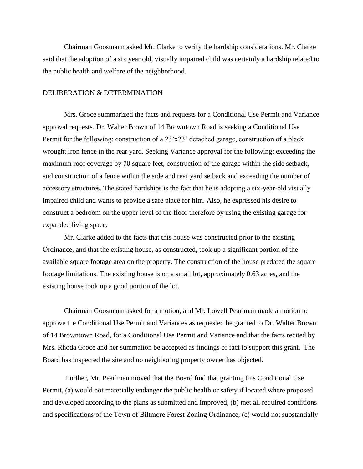Chairman Goosmann asked Mr. Clarke to verify the hardship considerations. Mr. Clarke said that the adoption of a six year old, visually impaired child was certainly a hardship related to the public health and welfare of the neighborhood.

## DELIBERATION & DETERMINATION

Mrs. Groce summarized the facts and requests for a Conditional Use Permit and Variance approval requests. Dr. Walter Brown of 14 Browntown Road is seeking a Conditional Use Permit for the following: construction of a 23'x23' detached garage, construction of a black wrought iron fence in the rear yard. Seeking Variance approval for the following: exceeding the maximum roof coverage by 70 square feet, construction of the garage within the side setback, and construction of a fence within the side and rear yard setback and exceeding the number of accessory structures. The stated hardships is the fact that he is adopting a six-year-old visually impaired child and wants to provide a safe place for him. Also, he expressed his desire to construct a bedroom on the upper level of the floor therefore by using the existing garage for expanded living space.

Mr. Clarke added to the facts that this house was constructed prior to the existing Ordinance, and that the existing house, as constructed, took up a significant portion of the available square footage area on the property. The construction of the house predated the square footage limitations. The existing house is on a small lot, approximately 0.63 acres, and the existing house took up a good portion of the lot.

Chairman Goosmann asked for a motion, and Mr. Lowell Pearlman made a motion to approve the Conditional Use Permit and Variances as requested be granted to Dr. Walter Brown of 14 Browntown Road, for a Conditional Use Permit and Variance and that the facts recited by Mrs. Rhoda Groce and her summation be accepted as findings of fact to support this grant. The Board has inspected the site and no neighboring property owner has objected.

Further, Mr. Pearlman moved that the Board find that granting this Conditional Use Permit, (a) would not materially endanger the public health or safety if located where proposed and developed according to the plans as submitted and improved, (b) met all required conditions and specifications of the Town of Biltmore Forest Zoning Ordinance, (c) would not substantially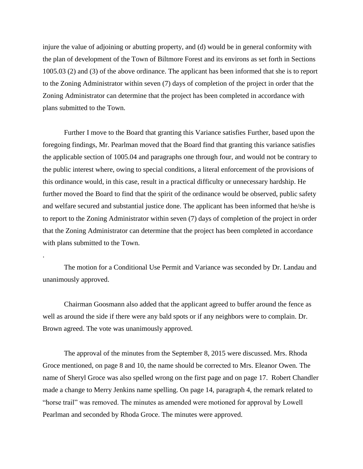injure the value of adjoining or abutting property, and (d) would be in general conformity with the plan of development of the Town of Biltmore Forest and its environs as set forth in Sections 1005.03 (2) and (3) of the above ordinance. The applicant has been informed that she is to report to the Zoning Administrator within seven (7) days of completion of the project in order that the Zoning Administrator can determine that the project has been completed in accordance with plans submitted to the Town.

Further I move to the Board that granting this Variance satisfies Further, based upon the foregoing findings, Mr. Pearlman moved that the Board find that granting this variance satisfies the applicable section of 1005.04 and paragraphs one through four, and would not be contrary to the public interest where, owing to special conditions, a literal enforcement of the provisions of this ordinance would, in this case, result in a practical difficulty or unnecessary hardship. He further moved the Board to find that the spirit of the ordinance would be observed, public safety and welfare secured and substantial justice done. The applicant has been informed that he/she is to report to the Zoning Administrator within seven (7) days of completion of the project in order that the Zoning Administrator can determine that the project has been completed in accordance with plans submitted to the Town.

The motion for a Conditional Use Permit and Variance was seconded by Dr. Landau and unanimously approved.

.

Chairman Goosmann also added that the applicant agreed to buffer around the fence as well as around the side if there were any bald spots or if any neighbors were to complain. Dr. Brown agreed. The vote was unanimously approved.

The approval of the minutes from the September 8, 2015 were discussed. Mrs. Rhoda Groce mentioned, on page 8 and 10, the name should be corrected to Mrs. Eleanor Owen. The name of Sheryl Groce was also spelled wrong on the first page and on page 17. Robert Chandler made a change to Merry Jenkins name spelling. On page 14, paragraph 4, the remark related to "horse trail" was removed. The minutes as amended were motioned for approval by Lowell Pearlman and seconded by Rhoda Groce. The minutes were approved.